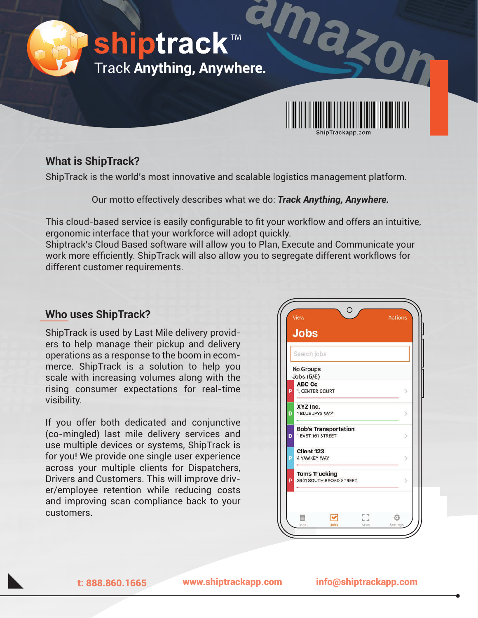

### **What is ShipTrack?**

ShipTrack is the world's most innovative and scalable logistics management platform.

Our motto effectively describes what we do: *Track Anything, Anywhere.* 

This cloud-based service is easily configurable to fit your workflow and offers an intuitive, ergonomic interface that your workforce will adopt quickly.

Shiptrack's Cloud Based software will allow you to Plan, Execute and Communicate your work more efficiently. ShipTrack will also allow you to segregate different workflows for different customer requirements.

## **Who uses ShipTrack?**

ShipTrack is used by Last Mile delivery providers to help manage their pickup and delivery operations as a response to the boom in ecommerce. ShipTrack is a solution to help you scale with increasing volumes along with the rising consumer expectations for real-time visibility.

If you offer both dedicated and conjunctive (co-mingled) last mile delivery services and use multiple devices or systems, ShipTrack is for you! We provide one single user experience across your multiple clients for Dispatchers, Drivers and Customers. This will improve driver/employee retention while reducing costs and improving scan compliance back to your customers.